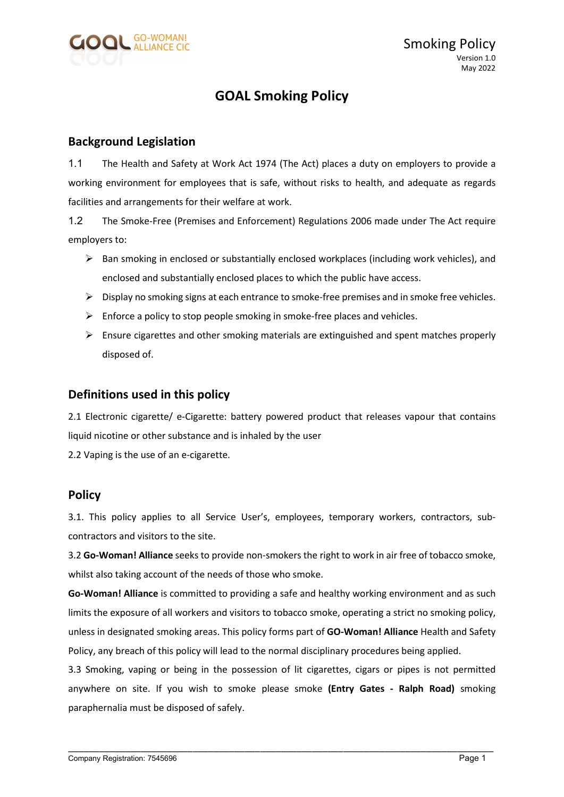

## GOAL Smoking Policy

## Background Legislation

1.1 The Health and Safety at Work Act 1974 (The Act) places a duty on employers to provide a working environment for employees that is safe, without risks to health, and adequate as regards facilities and arrangements for their welfare at work.

1.2 The Smoke-Free (Premises and Enforcement) Regulations 2006 made under The Act require employers to:

- $\triangleright$  Ban smoking in enclosed or substantially enclosed workplaces (including work vehicles), and enclosed and substantially enclosed places to which the public have access.
- $\triangleright$  Display no smoking signs at each entrance to smoke-free premises and in smoke free vehicles.
- $\triangleright$  Enforce a policy to stop people smoking in smoke-free places and vehicles.
- $\triangleright$  Ensure cigarettes and other smoking materials are extinguished and spent matches properly disposed of.

## Definitions used in this policy

2.1 Electronic cigarette/ e-Cigarette: battery powered product that releases vapour that contains liquid nicotine or other substance and is inhaled by the user

2.2 Vaping is the use of an e-cigarette.

## **Policy**

3.1. This policy applies to all Service User's, employees, temporary workers, contractors, subcontractors and visitors to the site.

3.2 Go-Woman! Alliance seeks to provide non-smokers the right to work in air free of tobacco smoke, whilst also taking account of the needs of those who smoke.

Go-Woman! Alliance is committed to providing a safe and healthy working environment and as such limits the exposure of all workers and visitors to tobacco smoke, operating a strict no smoking policy, unless in designated smoking areas. This policy forms part of GO-Woman! Alliance Health and Safety Policy, any breach of this policy will lead to the normal disciplinary procedures being applied.

3.3 Smoking, vaping or being in the possession of lit cigarettes, cigars or pipes is not permitted anywhere on site. If you wish to smoke please smoke (Entry Gates - Ralph Road) smoking paraphernalia must be disposed of safely.

\_\_\_\_\_\_\_\_\_\_\_\_\_\_\_\_\_\_\_\_\_\_\_\_\_\_\_\_\_\_\_\_\_\_\_\_\_\_\_\_\_\_\_\_\_\_\_\_\_\_\_\_\_\_\_\_\_\_\_\_\_\_\_\_\_\_\_\_\_\_\_\_\_\_\_\_\_\_\_\_\_\_